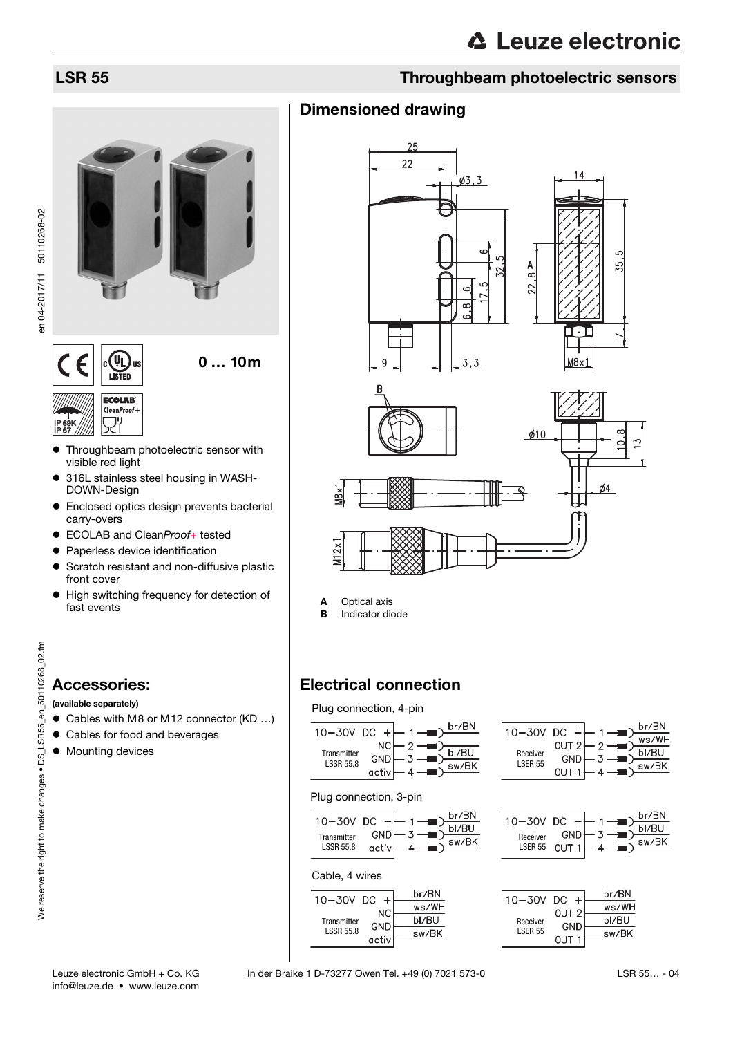

IP 69K IP 67

- **•** Throughbeam photoelectric sensor with visible red light
- 316L stainless steel housing in WASH-DOWN-Design
- Enclosed optics design prevents bacterial carry-overs
- ECOLAB and CleanProof+ tested
- Paperless device identification
- **•** Scratch resistant and non-diffusive plastic front cover
- $\bullet$  High switching frequency for detection of fast events

en\_50110268\_02.fm We reserve the right to make changes • DS\_LSR55\_en\_50110268\_02.fm We reserve the right to make changes . DS\_LSR55

## Accessories:

### (available separately)

- Cables with M8 or M12 connector (KD ...)
- Cables for food and beverages
- $\bullet$  Mounting devices

## LSR 55 Throughbeam photoelectric sensors

## Dimensioned drawing



A Optical axis

**B** Indicator diode

## Electrical connection

Plug connection, 4-pin

| $10-30V$ DC $+$ $-$             |       |       | $1 -$   | br/BN |
|---------------------------------|-------|-------|---------|-------|
|                                 |       |       |         |       |
| Transmitter<br><b>LSSR 55.8</b> | NCI   | $2 -$ |         |       |
|                                 |       |       |         | bl/BU |
|                                 | GND   |       | - 3 — — |       |
|                                 |       |       |         | sw/Bk |
|                                 | activ |       |         |       |
|                                 |       |       |         |       |



### Plug connection, 3-pin

| $10 - 30V$ DC $+$ |            | br/BN |
|-------------------|------------|-------|
|                   |            | bl/RU |
| Transmitter       | <b>GND</b> | sw/Bk |
| <b>LSSR 55.8</b>  | activ      |       |
|                   |            |       |

### Cable, 4 wires



| Receiver<br><b>LSER 55</b> | OUT 21<br>GN | ⌒ | WS∕W⊓<br>bl/BU<br>sw/BK |
|----------------------------|--------------|---|-------------------------|
|                            |              |   |                         |

| 10-30V DC                  |                  |  | br/BN |
|----------------------------|------------------|--|-------|
|                            | GND <sup>1</sup> |  | ىلA/R |
| Receiver<br><b>LSER 55</b> | OUT 1            |  | sw/BK |
|                            |                  |  |       |

| 0–30V<br>Receiver<br><b>I SFR 55</b> | DC               | br/BN |
|--------------------------------------|------------------|-------|
|                                      | OUT <sub>2</sub> | ws/WH |
|                                      | <b>GND</b>       | bl/RU |
|                                      | <b>OUT</b>       | sw/BK |
|                                      |                  |       |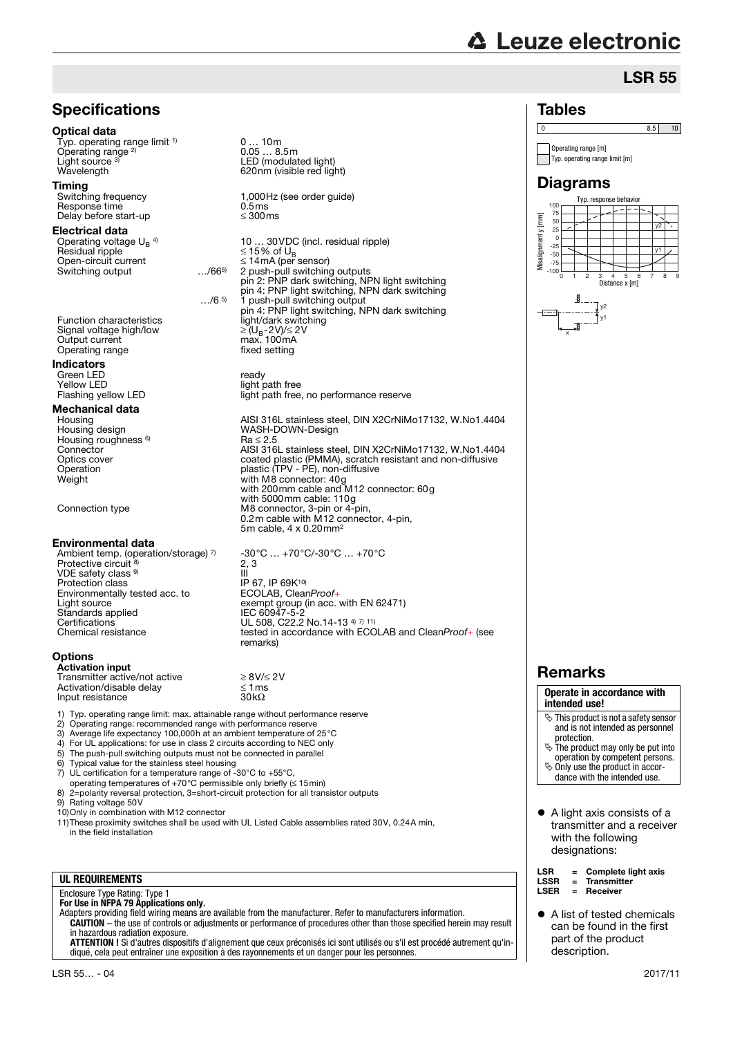# **△ Leuze electronic**

Tables

## LSR 55



## Enclosure Type Rating: Type 1 **For Use in NFPA 79 Applications only.**

Adapters providing field wiring means are available from the manufacturer. Refer to manufacturers information. **CAUTION** – the use of controls or adjustments or performance of procedures other than those specified herein may result in hazardous radiation exposure.

**ATTENTION !** Si d'autres dispositifs d'alignement que ceux préconisés ici sont utilisés ou s'il est procédé autrement qu'indiqué, cela peut entraîner une exposition à des rayonnements et un danger pour les personnes.

#### 0 8.5 10 Operating range [m] Typ. operating range limit [m] **Diagrams** Typ. response behavior 100 50 75  $\boxed{\text{mm}}$ Misalignment y [mm]  $v<sub>2</sub>$ 25 *Misalignmenty* 0<br>25y1 -50 -75 -100 012345678 9 Distance x [m]  $v<sub>2</sub>$ y1 x

## Remarks

#### **Operate in accordance with intended use!**

- $\ddot{\phi}$  This product is not a safety sensor and is not intended as personnel
- protection. The product may only be put into operation by competent persons.
- Only use the product in accor-dance with the intended use.
- 
- A light axis consists of a transmitter and a receiver with the following designations:
- LSR = Complete light axis<br>LSSR = Transmitter LSSR = Transmitter
	- **Depaired**
- A list of tested chemicals can be found in the first part of the product description.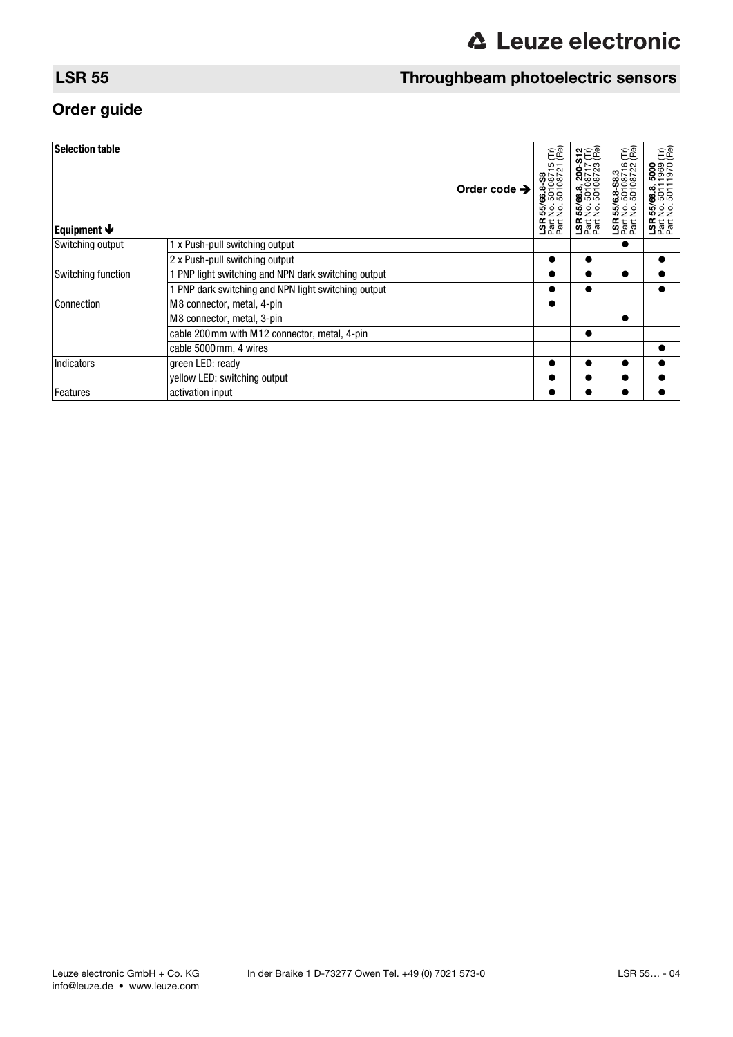## LSR 55 Throughbeam photoelectric sensors

## Order guide

| <b>Selection table</b><br>Equipment $\blacklozenge$ |                                                     | Order code $\rightarrow$ | EC<br>$\overline{5}$<br>55/66.8-S8<br>No. 50108715<br>No. 50108721<br><b>SAN</b><br>225 | 155/66.8, 200-S12<br>No. 50108717 (Tr)<br>No. 50108723 (Re)<br><b>SE EE</b><br>25 Fe | EC<br>$\circ$ $\circ$<br>55/6.8-S8.3<br>No. 50108716<br>No. 50108722<br><b>SE EE</b> | ÊÊ<br>5000<br>1969<br>1970<br>55/66.8,<br>No. 5011<br>No. 5011<br><b>SE EE</b> |
|-----------------------------------------------------|-----------------------------------------------------|--------------------------|-----------------------------------------------------------------------------------------|--------------------------------------------------------------------------------------|--------------------------------------------------------------------------------------|--------------------------------------------------------------------------------|
| Switching output                                    | 1 x Push-pull switching output                      |                          |                                                                                         |                                                                                      |                                                                                      |                                                                                |
|                                                     | 2 x Push-pull switching output                      |                          | $\bullet$                                                                               |                                                                                      |                                                                                      |                                                                                |
| Switching function                                  | 1 PNP light switching and NPN dark switching output |                          | c                                                                                       |                                                                                      |                                                                                      |                                                                                |
|                                                     | 1 PNP dark switching and NPN light switching output |                          |                                                                                         |                                                                                      |                                                                                      |                                                                                |
| Connection                                          | M8 connector, metal, 4-pin                          |                          | $\bullet$                                                                               |                                                                                      |                                                                                      |                                                                                |
|                                                     | M8 connector, metal, 3-pin                          |                          |                                                                                         |                                                                                      | $\bullet$                                                                            |                                                                                |
|                                                     | cable 200 mm with M12 connector, metal, 4-pin       |                          |                                                                                         | ●                                                                                    |                                                                                      |                                                                                |
|                                                     | cable 5000 mm, 4 wires                              |                          |                                                                                         |                                                                                      |                                                                                      |                                                                                |
| Indicators                                          | green LED: ready                                    |                          |                                                                                         |                                                                                      |                                                                                      |                                                                                |
|                                                     | yellow LED: switching output                        |                          | ●                                                                                       | $\bullet$                                                                            |                                                                                      |                                                                                |
| Features                                            | activation input                                    |                          | $\bullet$                                                                               |                                                                                      |                                                                                      |                                                                                |